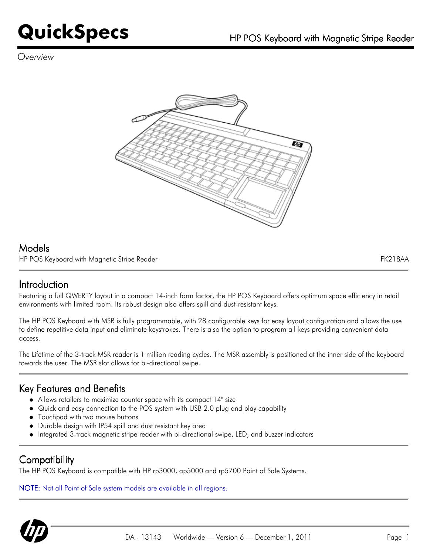## **QuickSpecs** HP POS Keyboard with Magnetic Stripe Reader

*Overview*



#### Models

HP POS Keyboard with Magnetic Stripe Reader FK218AA

#### Introduction

Featuring a full QWERTY layout in a compact 14-inch form factor, the HP POS Keyboard offers optimum space efficiency in retail environments with limited room. Its robust design also offers spill and dust-resistant keys.

The HP POS Keyboard with MSR is fully programmable, with 28 configurable keys for easy layout configuration and allows the use to define repetitive data input and eliminate keystrokes. There is also the option to program all keys providing convenient data access.

The Lifetime of the 3-track MSR reader is 1 million reading cycles. The MSR assembly is positioned at the inner side of the keyboard towards the user. The MSR slot allows for bi-directional swipe.

#### Key Features and Benefits

- Allows retailers to maximize counter space with its compact 14" size
- Quick and easy connection to the POS system with USB 2.0 plug and play capability
- $\bullet$  Touchpad with two mouse buttons
- Durable design with IP54 spill and dust resistant key area
- Integrated 3-track magnetic stripe reader with bi-directional swipe, LED, and buzzer indicators

#### **Compatibility**

The HP POS Keyboard is compatible with HP rp3000, ap5000 and rp5700 Point of Sale Systems.

NOTE: Not all Point of Sale system models are available in all regions.

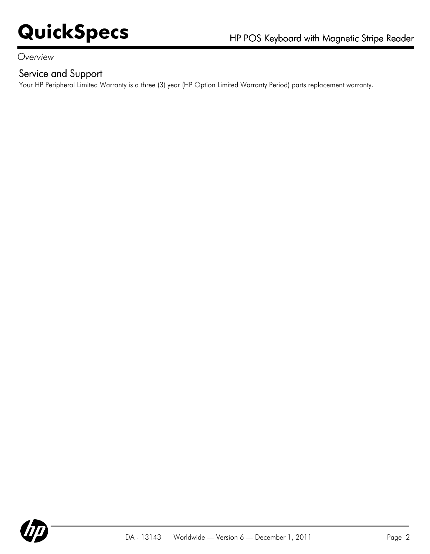#### *Overview*

#### Service and Support

Your HP Peripheral Limited Warranty is a three (3) year (HP Option Limited Warranty Period) parts replacement warranty.

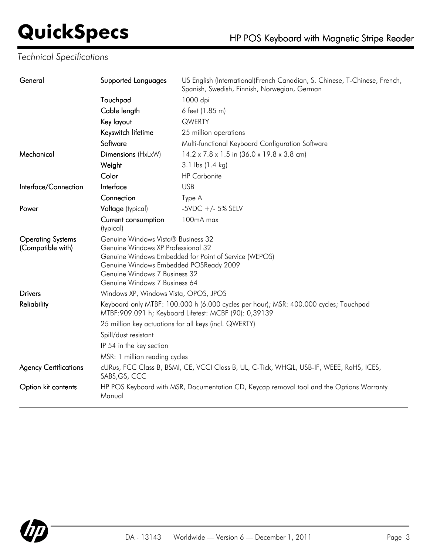# **QuickSpecs** HP POS Keyboard with Magnetic Stripe Reader

### *Technical Specifications*

| General                                       | Supported Languages                                                                                                                                                                                                                           | US English (International)French Canadian, S. Chinese, T-Chinese, French,<br>Spanish, Swedish, Finnish, Norwegian, German |
|-----------------------------------------------|-----------------------------------------------------------------------------------------------------------------------------------------------------------------------------------------------------------------------------------------------|---------------------------------------------------------------------------------------------------------------------------|
|                                               | Touchpad                                                                                                                                                                                                                                      | 1000 dpi                                                                                                                  |
|                                               | Cable length                                                                                                                                                                                                                                  | 6 feet (1.85 m)                                                                                                           |
|                                               | Key layout                                                                                                                                                                                                                                    | QWERTY                                                                                                                    |
|                                               | Keyswitch lifetime                                                                                                                                                                                                                            | 25 million operations                                                                                                     |
|                                               | Software                                                                                                                                                                                                                                      | Multi-functional Keyboard Configuration Software                                                                          |
| Mechanical                                    | Dimensions (HxLxW)                                                                                                                                                                                                                            | 14.2 x 7.8 x 1.5 in (36.0 x 19.8 x 3.8 cm)                                                                                |
|                                               | Weight                                                                                                                                                                                                                                        | 3.1 lbs (1.4 kg)                                                                                                          |
|                                               | Color                                                                                                                                                                                                                                         | <b>HP</b> Carbonite                                                                                                       |
| Interface/Connection                          | Interface                                                                                                                                                                                                                                     | <b>USB</b>                                                                                                                |
|                                               | Connection                                                                                                                                                                                                                                    | Type A                                                                                                                    |
| Power                                         | Voltage (typical)                                                                                                                                                                                                                             | -5VDC $+/-$ 5% SELV                                                                                                       |
|                                               | Current consumption<br>(typical)                                                                                                                                                                                                              | 100mA max                                                                                                                 |
| <b>Operating Systems</b><br>(Compatible with) | Genuine Windows Vista® Business 32<br>Genuine Windows XP Professional 32<br>Genuine Windows Embedded for Point of Service (WEPOS)<br>Genuine Windows Embedded POSReady 2009<br>Genuine Windows 7 Business 32<br>Genuine Windows 7 Business 64 |                                                                                                                           |
| <b>Drivers</b>                                | Windows XP, Windows Vista, OPOS, JPOS                                                                                                                                                                                                         |                                                                                                                           |
| <b>Reliability</b>                            | Keyboard only MTBF: 100.000 h (6.000 cycles per hour); MSR: 400.000 cycles; Touchpad<br>MTBF: 909.091 h; Keyboard Lifetest: MCBF (90): 0,39139                                                                                                |                                                                                                                           |
|                                               | 25 million key actuations for all keys (incl. QWERTY)                                                                                                                                                                                         |                                                                                                                           |
|                                               | Spill/dust resistant                                                                                                                                                                                                                          |                                                                                                                           |
|                                               | IP 54 in the key section                                                                                                                                                                                                                      |                                                                                                                           |
|                                               | MSR: 1 million reading cycles                                                                                                                                                                                                                 |                                                                                                                           |
| <b>Agency Certifications</b>                  | cURus, FCC Class B, BSMI, CE, VCCI Class B, UL, C-Tick, WHQL, USB-IF, WEEE, RoHS, ICES,<br>SABS, GS, CCC                                                                                                                                      |                                                                                                                           |
| Option kit contents                           | Manual                                                                                                                                                                                                                                        | HP POS Keyboard with MSR, Documentation CD, Keycap removal tool and the Options Warranty                                  |
|                                               |                                                                                                                                                                                                                                               |                                                                                                                           |